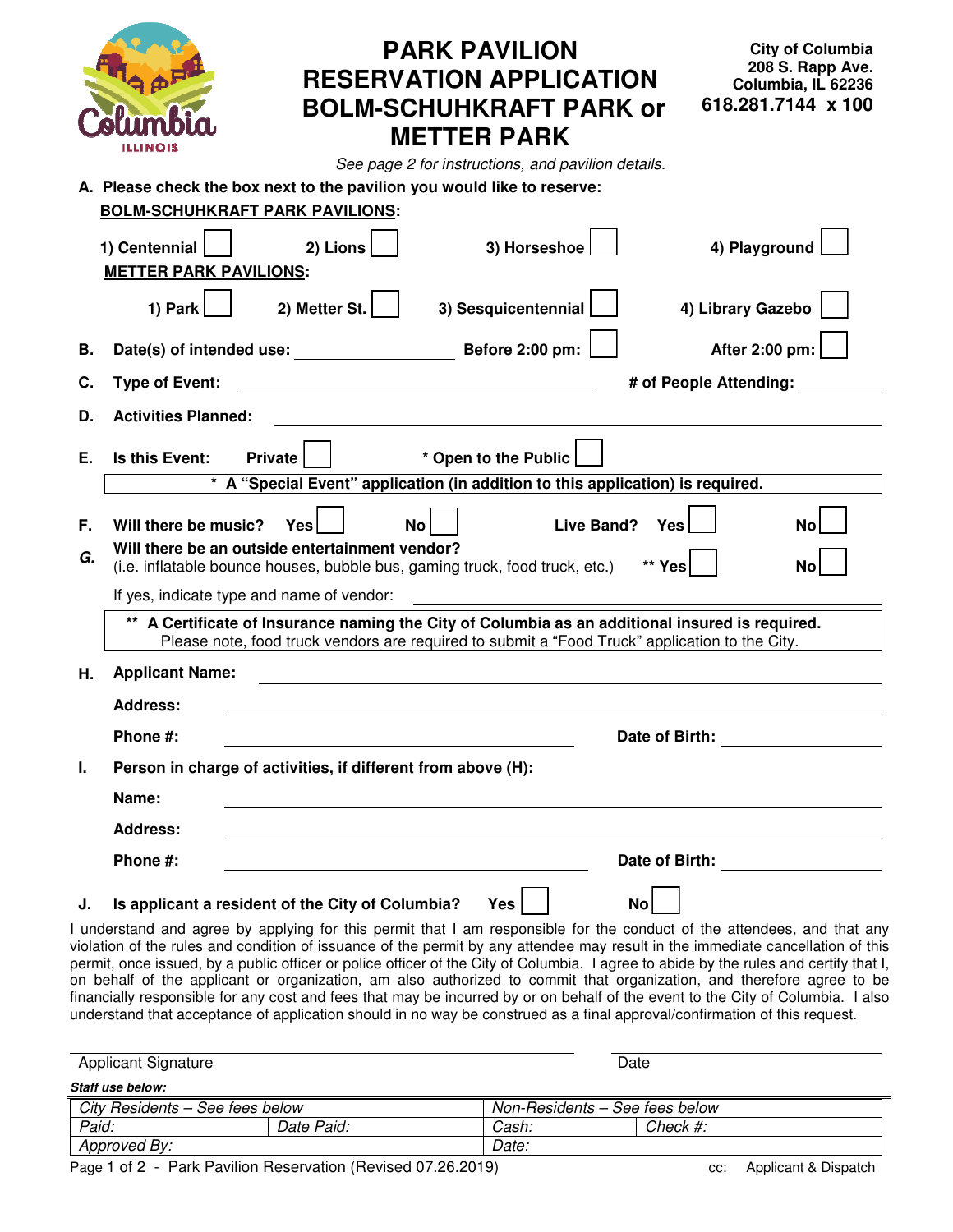|    | <b>PARK PAVILION</b><br><b>RESERVATION APPLICATION</b><br><b>BOLM-SCHUHKRAFT PARK or</b><br><b>METTER PARK</b><br>ILLINOIS<br>See page 2 for instructions, and pavilion details.                  | <b>City of Columbia</b><br>208 S. Rapp Ave.<br>Columbia, IL 62236<br>618.281.7144 x 100 |  |  |  |  |  |
|----|---------------------------------------------------------------------------------------------------------------------------------------------------------------------------------------------------|-----------------------------------------------------------------------------------------|--|--|--|--|--|
|    | A. Please check the box next to the pavilion you would like to reserve:                                                                                                                           |                                                                                         |  |  |  |  |  |
|    | <b>BOLM-SCHUHKRAFT PARK PAVILIONS:</b>                                                                                                                                                            |                                                                                         |  |  |  |  |  |
|    | 3) Horseshoe<br>1) Centennial<br>2) Lions<br><b>METTER PARK PAVILIONS:</b>                                                                                                                        | 4) Playground                                                                           |  |  |  |  |  |
|    | 2) Metter St.<br>3) Sesquicentennial<br>4) Library Gazebo<br>1) Park                                                                                                                              |                                                                                         |  |  |  |  |  |
| В. |                                                                                                                                                                                                   | After 2:00 pm:                                                                          |  |  |  |  |  |
| С. | <b>Type of Event:</b><br># of People Attending:                                                                                                                                                   |                                                                                         |  |  |  |  |  |
| D. | <b>Activities Planned:</b>                                                                                                                                                                        |                                                                                         |  |  |  |  |  |
| Е. | * Open to the Public  <br>Is this Event:<br>Private<br>* A "Special Event" application (in addition to this application) is required.                                                             |                                                                                         |  |  |  |  |  |
|    |                                                                                                                                                                                                   |                                                                                         |  |  |  |  |  |
| F. | Will there be music?<br>Live Band?<br><b>Yes</b><br>Yesl<br>No l                                                                                                                                  | Nol                                                                                     |  |  |  |  |  |
| G. | Will there be an outside entertainment vendor?<br>(i.e. inflatable bounce houses, bubble bus, gaming truck, food truck, etc.)<br>** Yes                                                           | No                                                                                      |  |  |  |  |  |
|    | If yes, indicate type and name of vendor:                                                                                                                                                         |                                                                                         |  |  |  |  |  |
|    | ** A Certificate of Insurance naming the City of Columbia as an additional insured is required.<br>Please note, food truck vendors are required to submit a "Food Truck" application to the City. |                                                                                         |  |  |  |  |  |
| Η. | <b>Applicant Name:</b>                                                                                                                                                                            |                                                                                         |  |  |  |  |  |
|    | <b>Address:</b>                                                                                                                                                                                   |                                                                                         |  |  |  |  |  |
|    | Phone #:<br>Date of Birth: <u>__________</u>                                                                                                                                                      |                                                                                         |  |  |  |  |  |
| Ι. | Person in charge of activities, if different from above (H):                                                                                                                                      |                                                                                         |  |  |  |  |  |
|    | Name:                                                                                                                                                                                             |                                                                                         |  |  |  |  |  |
|    | <b>Address:</b>                                                                                                                                                                                   |                                                                                         |  |  |  |  |  |
|    | Phone #:                                                                                                                                                                                          |                                                                                         |  |  |  |  |  |
| J. | Is applicant a resident of the City of Columbia?<br>Yes<br><b>No</b><br>I understand and agree by applying for this permit that I am responsible for the conduct of the attendees, and that any   |                                                                                         |  |  |  |  |  |
|    | violation of the rules and condition of issuance of the permit by any attendee may result in the immediate cancellation of this                                                                   |                                                                                         |  |  |  |  |  |

violation of the rules and condition of issuance of the permit by any attendee may result in the immediate cancellation of this permit, once issued, by a public officer or police officer of the City of Columbia. I agree to abide by the rules and certify that I, on behalf of the applicant or organization, am also authorized to commit that organization, and therefore agree to be financially responsible for any cost and fees that may be incurred by or on behalf of the event to the City of Columbia. I also understand that acceptance of application should in no way be construed as a final approval/confirmation of this request.

| <b>Applicant Signature</b>      |                                                              |       | Date                           |  |  |  |
|---------------------------------|--------------------------------------------------------------|-------|--------------------------------|--|--|--|
| Staff use below:                |                                                              |       |                                |  |  |  |
| City Residents - See fees below |                                                              |       | Non-Residents - See fees below |  |  |  |
| Paid:                           | Date Paid:                                                   | Cash: | <i>Check #:</i>                |  |  |  |
| Approved By:                    |                                                              | Date: |                                |  |  |  |
|                                 | Page 1 of 2 - Park Pavilion Reservation (Revised 07.26.2019) | cc:   | Applicant & Dispatch           |  |  |  |